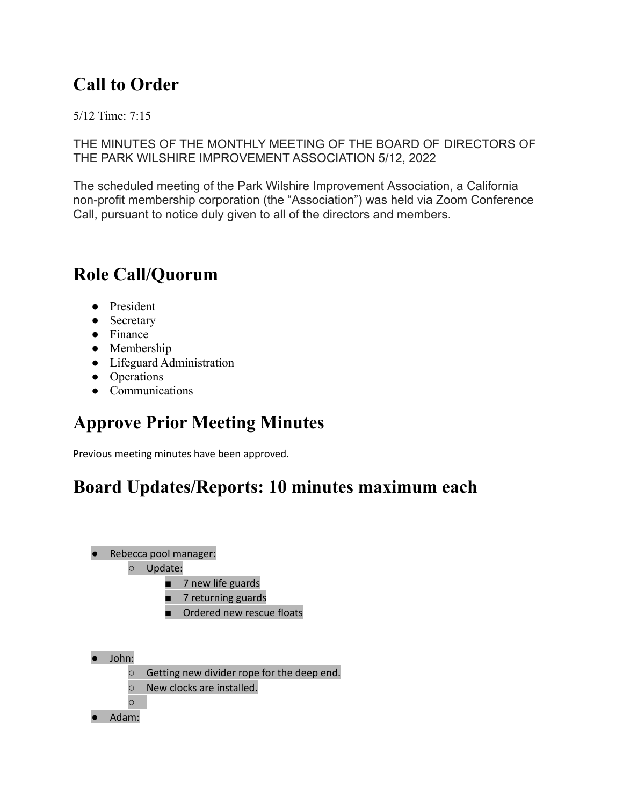### **Call to Order**

5/12 Time: 7:15

THE MINUTES OF THE MONTHLY MEETING OF THE BOARD OF DIRECTORS OF THE PARK WILSHIRE IMPROVEMENT ASSOCIATION 5/12, 2022

The scheduled meeting of the Park Wilshire Improvement Association, a California non-profit membership corporation (the "Association") was held via Zoom Conference Call, pursuant to notice duly given to all of the directors and members.

#### **Role Call/Quorum**

- President
- Secretary
- Finance
- Membership
- Lifeguard Administration
- Operations
- Communications

#### **Approve Prior Meeting Minutes**

Previous meeting minutes have been approved.

#### **Board Updates/Reports: 10 minutes maximum each**



#### ○ Update:

- 7 new life guards
- 7 returning guards
- Ordered new rescue floats
- John:
	- Getting new divider rope for the deep end.
	- New clocks are installed.
	- ○
- Adam: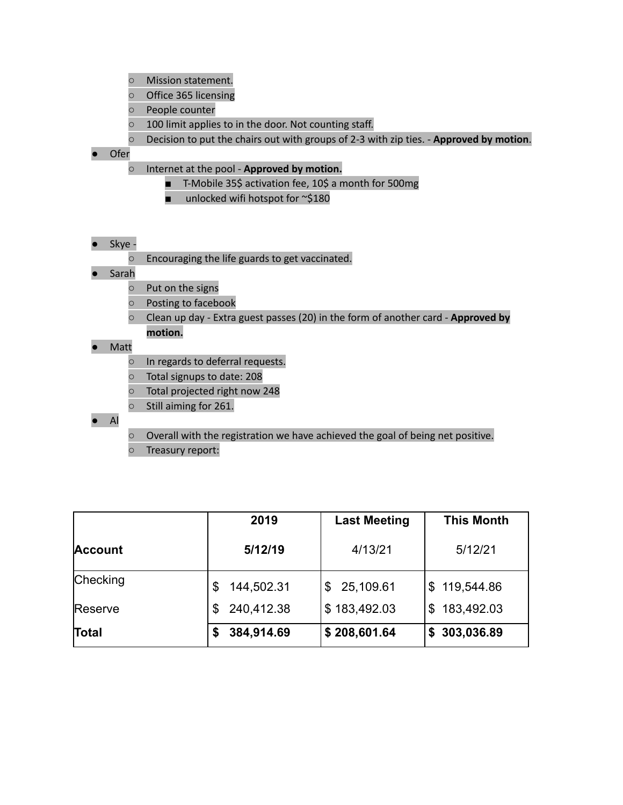- Mission statement.
- Office 365 licensing
- People counter
- 100 limit applies to in the door. Not counting staff.
- Decision to put the chairs out with groups of 2-3 with zip ties. **Approved by motion**.
- Ofer
	- Internet at the pool **Approved by motion.**
		- T-Mobile 35\$ activation fee, 10\$ a month for 500mg
		- unlocked wifi hotspot for ~\$180
- Skye
	- Encouraging the life guards to get vaccinated.
- Sarah
	- Put on the signs
	- Posting to facebook
	- Clean up day Extra guest passes (20) in the form of another card **Approved by motion.**
- Matt
	- In regards to deferral requests.
	- Total signups to date: 208
	- Total projected right now 248
	- Still aiming for 261.
- Al
- Overall with the registration we have achieved the goal of being net positive.
- Treasury report:

|                | 2019             | <b>Last Meeting</b> | <b>This Month</b> |
|----------------|------------------|---------------------|-------------------|
| <b>Account</b> | 5/12/19          | 4/13/21             | 5/12/21           |
| Checking       | 144,502.31       | 25,109.61<br>\$.    | \$119,544.86      |
| Reserve        | 240,412.38<br>\$ | \$183,492.03        | 183,492.03<br>\$. |
| Total          | 384,914.69<br>S  | \$208,601.64        | 303,036.89<br>S.  |